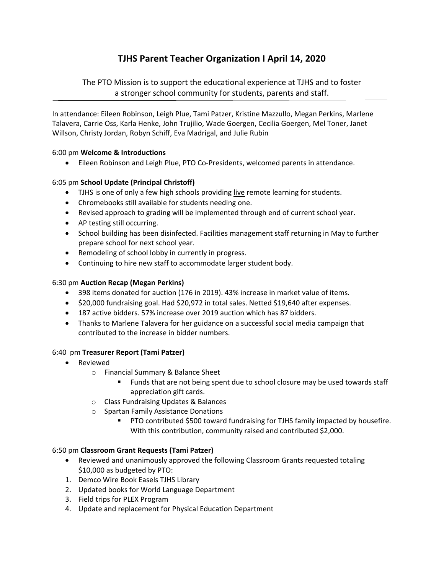# **TJHS Parent Teacher Organization I April 14, 2020**

The PTO Mission is to support the educational experience at TJHS and to foster a stronger school community for students, parents and staff.

In attendance: Eileen Robinson, Leigh Plue, Tami Patzer, Kristine Mazzullo, Megan Perkins, Marlene Talavera, Carrie Oss, Karla Henke, John Trujilio, Wade Goergen, Cecilia Goergen, Mel Toner, Janet Willson, Christy Jordan, Robyn Schiff, Eva Madrigal, and Julie Rubin

#### 6:00 pm **Welcome & Introductions**

● Eileen Robinson and Leigh Plue, PTO Co-Presidents, welcomed parents in attendance.

## 6:05 pm **School Update (Principal Christoff)**

- TJHS is one of only a few high schools providing live remote learning for students.
- Chromebooks still available for students needing one.
- Revised approach to grading will be implemented through end of current school year.
- AP testing still occurring.
- School building has been disinfected. Facilities management staff returning in May to further prepare school for next school year.
- Remodeling of school lobby in currently in progress.
- Continuing to hire new staff to accommodate larger student body.

#### 6:30 pm **Auction Recap (Megan Perkins)**

- 398 items donated for auction (176 in 2019). 43% increase in market value of items.
- \$20,000 fundraising goal. Had \$20,972 in total sales. Netted \$19,640 after expenses.
- 187 active bidders. 57% increase over 2019 auction which has 87 bidders.
- Thanks to Marlene Talavera for her guidance on a successful social media campaign that contributed to the increase in bidder numbers.

#### 6:40 pm **Treasurer Report (Tami Patzer)**

- Reviewed
	- o Financial Summary & Balance Sheet
		- **Funds that are not being spent due to school closure may be used towards staff** appreciation gift cards.
	- o Class Fundraising Updates & Balances
	- o Spartan Family Assistance Donations
		- PTO contributed \$500 toward fundraising for TJHS family impacted by housefire. With this contribution, community raised and contributed \$2,000.

#### 6:50 pm **Classroom Grant Requests (Tami Patzer)**

- Reviewed and unanimously approved the following Classroom Grants requested totaling \$10,000 as budgeted by PTO:
- 1. Demco Wire Book Easels TJHS Library
- 2. Updated books for World Language Department
- 3. Field trips for PLEX Program
- 4. Update and replacement for Physical Education Department